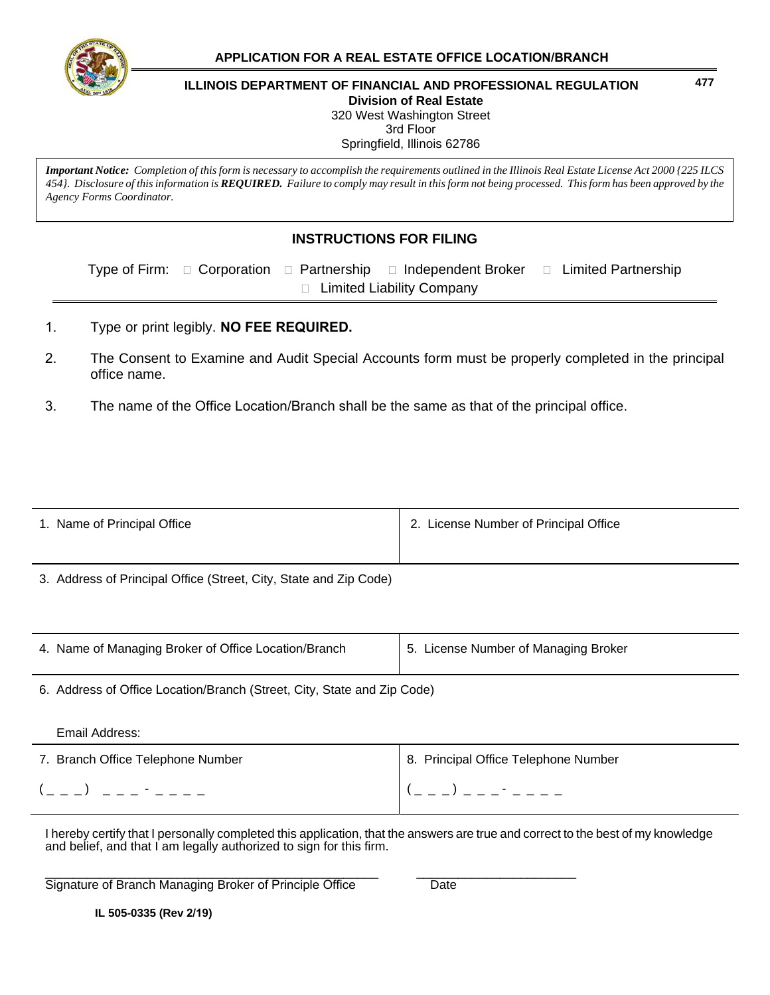

## **477 ILLINOIS DEPARTMENT OF FINANCIAL AND PROFESSIONAL REGULATION Division of Real Estate**  320 West Washington Street 3rd Floor

Springfield, Illinois 62786

*Important Notice: Completion of this form is necessary to accomplish the requirements outlined in the Illinois Real Estate License Act 2000 {225 ILCS 454}. Disclosure of this information is REQUIRED. Failure to comply may result in this form not being processed. This form has been approved by the Agency Forms Coordinator.*

## **INSTRUCTIONS FOR FILING**

Type of Firm:  $\Box$  Corporation  $\Box$  Partnership  $\Box$  Independent Broker  $\Box$  Limited Partnership □ Limited Liability Company

- 1. Type or print legibly. **NO FEE REQUIRED.**
- 2. The Consent to Examine and Audit Special Accounts form must be properly completed in the principal office name.
- 3. The name of the Office Location/Branch shall be the same as that of the principal office.

| 1. Name of Principal Office                                             | 2. License Number of Principal Office |  |  |  |
|-------------------------------------------------------------------------|---------------------------------------|--|--|--|
|                                                                         |                                       |  |  |  |
| 3. Address of Principal Office (Street, City, State and Zip Code)       |                                       |  |  |  |
|                                                                         |                                       |  |  |  |
|                                                                         |                                       |  |  |  |
| 4. Name of Managing Broker of Office Location/Branch                    | 5. License Number of Managing Broker  |  |  |  |
| 6. Address of Office Location/Branch (Street, City, State and Zip Code) |                                       |  |  |  |
|                                                                         |                                       |  |  |  |
| Email Address:                                                          |                                       |  |  |  |
| 7. Branch Office Telephone Number                                       | 8. Principal Office Telephone Number  |  |  |  |
|                                                                         |                                       |  |  |  |

I hereby certify that I personally completed this application, that the answers are true and correct to the best of my knowledge and belief, and that I am legally authorized to sign for this firm.

\_\_\_\_\_\_\_\_\_\_\_\_\_\_\_\_\_\_\_\_\_\_\_\_\_\_\_\_\_\_\_\_\_\_\_\_\_\_\_\_\_\_\_\_\_\_\_\_ \_\_\_\_\_\_\_\_\_\_\_\_\_\_\_\_\_\_\_\_\_\_\_ Signature of Branch Managing Broker of Principle Office Date

**IL 505-0335 (Rev 2/19)**